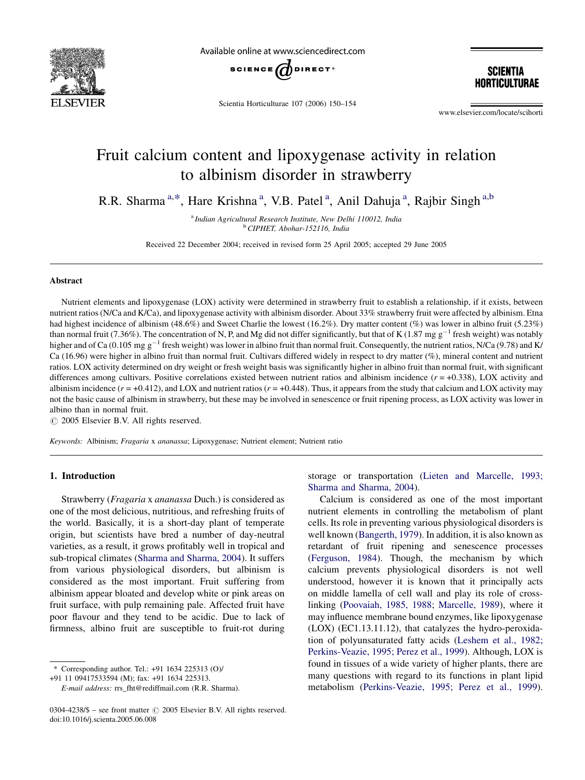

Available online at www.sciencedirect.com



Scientia Horticulturae 107 (2006) 150–154

**SCIENTIA** Horticulturae

www.elsevier.com/locate/scihorti

# Fruit calcium content and lipoxygenase activity in relation to albinism disorder in strawberry

R.R. Sharma<sup>a,\*</sup>, Hare Krishna<sup>a</sup>, V.B. Patel<sup>a</sup>, Anil Dahuja<sup>a</sup>, Rajbir Singh<sup>a,b</sup>

<sup>a</sup> Indian Agricultural Research Institute, New Delhi 110012, India <sup>b</sup> CIPHET, Abohar-152116, India

Received 22 December 2004; received in revised form 25 April 2005; accepted 29 June 2005

# Abstract

Nutrient elements and lipoxygenase (LOX) activity were determined in strawberry fruit to establish a relationship, if it exists, between nutrient ratios (N/Ca and K/Ca), and lipoxygenase activity with albinism disorder. About 33% strawberry fruit were affected by albinism. Etna had highest incidence of albinism (48.6%) and Sweet Charlie the lowest (16.2%). Dry matter content (%) was lower in albino fruit (5.23%) than normal fruit (7.36%). The concentration of N, P, and Mg did not differ significantly, but that of K (1.87 mg  $g^{-1}$  fresh weight) was notably higher and of Ca (0.105 mg  $g^{-1}$  fresh weight) was lower in albino fruit than normal fruit. Consequently, the nutrient ratios, N/Ca (9.78) and K/ Ca (16.96) were higher in albino fruit than normal fruit. Cultivars differed widely in respect to dry matter (%), mineral content and nutrient ratios. LOX activity determined on dry weight or fresh weight basis was significantly higher in albino fruit than normal fruit, with significant differences among cultivars. Positive correlations existed between nutrient ratios and albinism incidence  $(r = +0.338)$ , LOX activity and albinism incidence  $(r = +0.412)$ , and LOX and nutrient ratios  $(r = +0.448)$ . Thus, it appears from the study that calcium and LOX activity may not the basic cause of albinism in strawberry, but these may be involved in senescence or fruit ripening process, as LOX activity was lower in albino than in normal fruit.

 $\odot$  2005 Elsevier B.V. All rights reserved.

Keywords: Albinism; Fragaria x ananassa; Lipoxygenase; Nutrient element; Nutrient ratio

## 1. Introduction

Strawberry (Fragaria x ananassa Duch.) is considered as one of the most delicious, nutritious, and refreshing fruits of the world. Basically, it is a short-day plant of temperate origin, but scientists have bred a number of day-neutral varieties, as a result, it grows profitably well in tropical and sub-tropical climates [\(Sharma and Sharma, 2004\)](#page-4-0). It suffers from various physiological disorders, but albinism is considered as the most important. Fruit suffering from albinism appear bloated and develop white or pink areas on fruit surface, with pulp remaining pale. Affected fruit have poor flavour and they tend to be acidic. Due to lack of firmness, albino fruit are susceptible to fruit-rot during

storage or transportation ([Lieten and Marcelle, 1993;](#page-3-0) [Sharma and Sharma, 2004\)](#page-3-0).

Calcium is considered as one of the most important nutrient elements in controlling the metabolism of plant cells. Its role in preventing various physiological disorders is well known ([Bangerth, 1979](#page-3-0)). In addition, it is also known as retardant of fruit ripening and senescence processes ([Ferguson, 1984\)](#page-3-0). Though, the mechanism by which calcium prevents physiological disorders is not well understood, however it is known that it principally acts on middle lamella of cell wall and play its role of crosslinking [\(Poovaiah, 1985, 1988](#page-4-0); [Marcelle, 1989\)](#page-3-0), where it may influence membrane bound enzymes, like lipoxygenase (LOX) (EC1.13.11.12), that catalyzes the hydro-peroxidation of polyunsaturated fatty acids ([Leshem et al., 1982;](#page-3-0) [Perkins-Veazie, 1995; Perez et al., 1999\)](#page-3-0). Although, LOX is found in tissues of a wide variety of higher plants, there are many questions with regard to its functions in plant lipid metabolism ([Perkins-Veazie, 1995; Perez et al., 1999\)](#page-4-0).

<sup>\*</sup> Corresponding author. Tel.: +91 1634 225313 (O)/

<sup>+91 11 09417533594 (</sup>M); fax: +91 1634 225313.

E-mail address: rrs\_fht@rediffmail.com (R.R. Sharma).

<sup>0304-4238/\$ –</sup> see front matter  $\odot$  2005 Elsevier B.V. All rights reserved. doi:10.1016/j.scienta.2005.06.008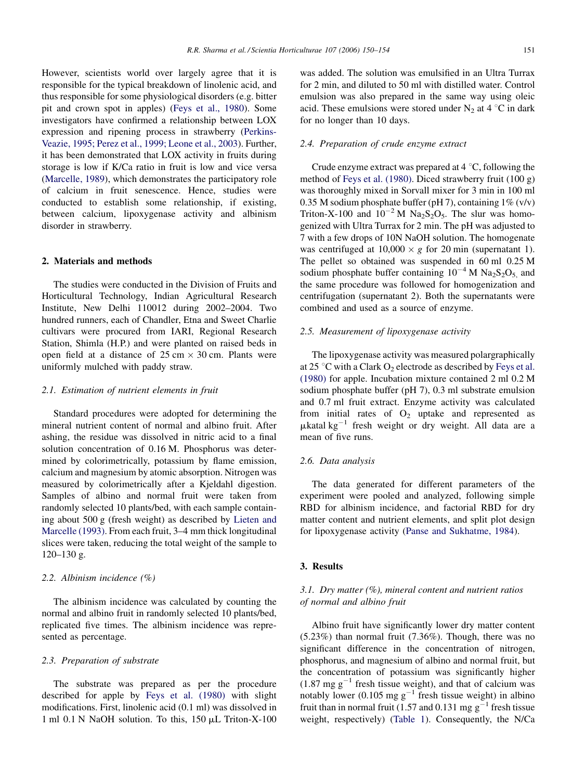However, scientists world over largely agree that it is responsible for the typical breakdown of linolenic acid, and thus responsible for some physiological disorders (e.g. bitter pit and crown spot in apples) [\(Feys et al., 1980](#page-3-0)). Some investigators have confirmed a relationship between LOX expression and ripening process in strawberry [\(Perkins-](#page-4-0)[Veazie, 1995; Perez et al., 1999; Leone et al., 2003](#page-4-0)). Further, it has been demonstrated that LOX activity in fruits during storage is low if K/Ca ratio in fruit is low and vice versa ([Marcelle, 1989\)](#page-3-0), which demonstrates the participatory role of calcium in fruit senescence. Hence, studies were conducted to establish some relationship, if existing, between calcium, lipoxygenase activity and albinism disorder in strawberry.

# 2. Materials and methods

The studies were conducted in the Division of Fruits and Horticultural Technology, Indian Agricultural Research Institute, New Delhi 110012 during 2002–2004. Two hundred runners, each of Chandler, Etna and Sweet Charlie cultivars were procured from IARI, Regional Research Station, Shimla (H.P.) and were planted on raised beds in open field at a distance of  $25 \text{ cm} \times 30 \text{ cm}$ . Plants were uniformly mulched with paddy straw.

## 2.1. Estimation of nutrient elements in fruit

Standard procedures were adopted for determining the mineral nutrient content of normal and albino fruit. After ashing, the residue was dissolved in nitric acid to a final solution concentration of 0.16 M. Phosphorus was determined by colorimetrically, potassium by flame emission, calcium and magnesium by atomic absorption. Nitrogen was measured by colorimetrically after a Kjeldahl digestion. Samples of albino and normal fruit were taken from randomly selected 10 plants/bed, with each sample containing about 500 g (fresh weight) as described by [Lieten and](#page-3-0) [Marcelle \(1993\).](#page-3-0) From each fruit, 3–4 mm thick longitudinal slices were taken, reducing the total weight of the sample to 120–130 g.

## 2.2. Albinism incidence (%)

The albinism incidence was calculated by counting the normal and albino fruit in randomly selected 10 plants/bed, replicated five times. The albinism incidence was represented as percentage.

# 2.3. Preparation of substrate

The substrate was prepared as per the procedure described for apple by [Feys et al. \(1980\)](#page-3-0) with slight modifications. First, linolenic acid (0.1 ml) was dissolved in 1 ml 0.1 N NaOH solution. To this, 150 µL Triton-X-100

was added. The solution was emulsified in an Ultra Turrax for 2 min, and diluted to 50 ml with distilled water. Control emulsion was also prepared in the same way using oleic acid. These emulsions were stored under  $N_2$  at 4 °C in dark for no longer than 10 days.

# 2.4. Preparation of crude enzyme extract

Crude enzyme extract was prepared at  $4^{\circ}$ C, following the method of [Feys et al. \(1980\)](#page-3-0). Diced strawberry fruit (100 g) was thoroughly mixed in Sorvall mixer for 3 min in 100 ml 0.35 M sodium phosphate buffer (pH 7), containing  $1\%$  (v/v) Triton-X-100 and  $10^{-2}$  M Na<sub>2</sub>S<sub>2</sub>O<sub>5</sub>. The slur was homogenized with Ultra Turrax for 2 min. The pH was adjusted to 7 with a few drops of 10N NaOH solution. The homogenate was centrifuged at  $10,000 \times g$  for 20 min (supernatant 1). The pellet so obtained was suspended in 60 ml 0.25 M sodium phosphate buffer containing  $10^{-4}$  M Na<sub>2</sub>S<sub>2</sub>O<sub>5</sub> and the same procedure was followed for homogenization and centrifugation (supernatant 2). Both the supernatants were combined and used as a source of enzyme.

#### 2.5. Measurement of lipoxygenase activity

The lipoxygenase activity was measured polargraphically at 25 °C with a Clark  $O_2$  electrode as described by [Feys et al.](#page-3-0) [\(1980\)](#page-3-0) for apple. Incubation mixture contained 2 ml 0.2 M sodium phosphate buffer (pH 7), 0.3 ml substrate emulsion and 0.7 ml fruit extract. Enzyme activity was calculated from initial rates of  $O_2$  uptake and represented as  $\mu$ katal kg<sup>-1</sup> fresh weight or dry weight. All data are a mean of five runs.

# 2.6. Data analysis

The data generated for different parameters of the experiment were pooled and analyzed, following simple RBD for albinism incidence, and factorial RBD for dry matter content and nutrient elements, and split plot design for lipoxygenase activity [\(Panse and Sukhatme, 1984](#page-3-0)).

#### 3. Results

# 3.1. Dry matter (%), mineral content and nutrient ratios of normal and albino fruit

Albino fruit have significantly lower dry matter content (5.23%) than normal fruit (7.36%). Though, there was no significant difference in the concentration of nitrogen, phosphorus, and magnesium of albino and normal fruit, but the concentration of potassium was significantly higher  $(1.87 \text{ mg g}^{-1}$  fresh tissue weight), and that of calcium was notably lower (0.105 mg  $g^{-1}$  fresh tissue weight) in albino fruit than in normal fruit (1.57 and 0.131 mg  $g^{-1}$  fresh tissue weight, respectively) ([Table 1\)](#page-2-0). Consequently, the N/Ca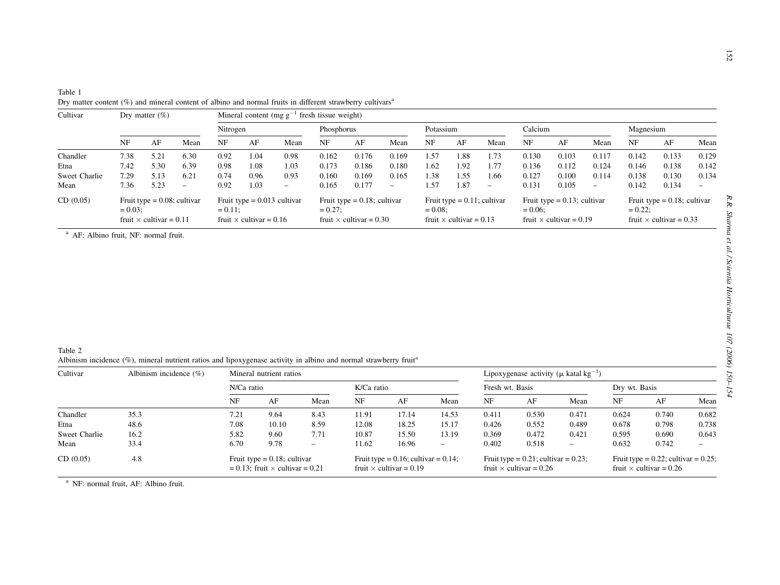<span id="page-2-0"></span>

|                                           |                                                                              |                              |                                           | Dry matter content $(\%)$ and mineral content of albino and normal fruits in different strawberry cultivars <sup>a</sup><br>Mineral content (mg $g^{-1}$ fresh tissue weight) |                              |                                                                                |                                  |                                  |                                                                                |                              |                                                                                |                                  |                                  |                                                                                |                                                     |                                  |                                  |                                           |
|-------------------------------------------|------------------------------------------------------------------------------|------------------------------|-------------------------------------------|-------------------------------------------------------------------------------------------------------------------------------------------------------------------------------|------------------------------|--------------------------------------------------------------------------------|----------------------------------|----------------------------------|--------------------------------------------------------------------------------|------------------------------|--------------------------------------------------------------------------------|----------------------------------|----------------------------------|--------------------------------------------------------------------------------|-----------------------------------------------------|----------------------------------|----------------------------------|-------------------------------------------|
|                                           |                                                                              |                              |                                           | Nitrogen                                                                                                                                                                      |                              | Phosphorus                                                                     |                                  |                                  | Potassium                                                                      |                              |                                                                                | Calcium                          |                                  |                                                                                | Magnesium                                           |                                  |                                  |                                           |
|                                           | NF                                                                           | AF                           | Mean                                      | $\rm{NF}$                                                                                                                                                                     | $\rm AF$                     | Mean                                                                           | NF                               | $\rm AF$                         | Mean                                                                           | $\rm{NF}$                    | AF                                                                             | Mean                             | NF                               | $\rm AF$                                                                       | Mean                                                | NF                               | AF                               | Mean                                      |
| Chandler<br>Etna<br>Sweet Charlie<br>Mean | 7.38<br>7.42<br>7.29<br>7.36                                                 | 5.21<br>5.30<br>5.13<br>5.23 | 6.30<br>6.39<br>6.21<br>$\qquad \qquad -$ | 0.92<br>0.98<br>0.74<br>0.92                                                                                                                                                  | 1.04<br>1.08<br>0.96<br>1.03 | 0.98<br>1.03<br>0.93<br>$\overline{\phantom{0}}$                               | 0.162<br>0.173<br>0.160<br>0.165 | 0.176<br>0.186<br>0.169<br>0.177 | 0.169<br>0.180<br>0.165<br>$\overline{\phantom{0}}$                            | 1.57<br>1.62<br>1.38<br>1.57 | 1.88<br>1.92<br>1.55<br>1.87                                                   | 1.73<br>1.77<br>1.66<br>$\equiv$ | 0.130<br>0.136<br>0.127<br>0.131 | 0.103<br>0.112<br>0.100<br>0.105                                               | 0.117<br>0.124<br>0.114<br>$\overline{\phantom{a}}$ | 0.142<br>0.146<br>0.138<br>0.142 | 0.133<br>0.138<br>0.130<br>0.134 | 0.129<br>0.142<br>0.134<br>$\overline{a}$ |
| CD(0.05)                                  | Fruit type = $0.08$ ; cultivar<br>$= 0.03$<br>fruit $\times$ cultivar = 0.11 |                              |                                           | Fruit type = $0.013$ cultivar<br>$= 0.11$ ;<br>fruit $\times$ cultivar = 0.16                                                                                                 |                              | Fruit type = $0.18$ ; cultivar<br>$= 0.27$ ;<br>fruit $\times$ cultivar = 0.30 |                                  |                                  | Fruit type = $0.11$ ; cultivar<br>$= 0.08$ ;<br>fruit $\times$ cultivar = 0.13 |                              | Fruit type = $0.13$ ; cultivar<br>$= 0.06$ ;<br>fruit $\times$ cultivar = 0.19 |                                  |                                  | Fruit type = $0.18$ ; cultivar<br>$= 0.22$ ;<br>fruit $\times$ cultivar = 0.33 |                                                     |                                  |                                  |                                           |
|                                           |                                                                              |                              |                                           |                                                                                                                                                                               |                              |                                                                                |                                  |                                  |                                                                                |                              |                                                                                |                                  |                                  |                                                                                |                                                     |                                  |                                  |                                           |

| Table 2                                                                                                                      |  |
|------------------------------------------------------------------------------------------------------------------------------|--|
| Albinism incidence (%), mineral nutrient ratios and lipoxygenase activity in albino and normal strawberry fruit <sup>®</sup> |  |

| Cultivar      | Albinism incidence $(\% )$ | Mineral nutrient ratios                                                       |       |      |                                                                             |       |                          |                 | Lipoxygenase activity ( $\mu$ katal kg <sup>-1</sup> )                      |                          |                                                                             |       |       |  |  |
|---------------|----------------------------|-------------------------------------------------------------------------------|-------|------|-----------------------------------------------------------------------------|-------|--------------------------|-----------------|-----------------------------------------------------------------------------|--------------------------|-----------------------------------------------------------------------------|-------|-------|--|--|
|               |                            | N/Ca ratio                                                                    |       |      | K/Ca ratio                                                                  |       |                          | Fresh wt. Basis |                                                                             |                          | Dry wt. Basis                                                               |       |       |  |  |
|               |                            | NF                                                                            | AF    | Mean | NF                                                                          | AF    | Mean                     | NF              | AF                                                                          | Mean                     | NF                                                                          | AF    | Mean  |  |  |
| Chandler      | 35.3                       | 7.21                                                                          | 9.64  | 8.43 | 11.91                                                                       | 17.14 | 14.53                    | 0.411           | 0.530                                                                       | 0.471                    | 0.624                                                                       | 0.740 | 0.682 |  |  |
| Etna          | 48.6                       | 7.08                                                                          | 10.10 | 8.59 | 12.08                                                                       | 18.25 | 15.17                    | 0.426           | 0.552                                                                       | 0.489                    | 0.678                                                                       | 0.798 | 0.738 |  |  |
| Sweet Charlie | 16.2                       | 5.82                                                                          | 9.60  | 7.71 | 10.87                                                                       | 15.50 | 13.19                    | 0.369           | 0.472                                                                       | 0.421                    | 0.595                                                                       | 0.690 | 0.643 |  |  |
| Mean          | 33.4                       | 6.70                                                                          | 9.78  |      | 11.62                                                                       | 16.96 | $\overline{\phantom{0}}$ | 0.402           | 0.518                                                                       | $\overline{\phantom{0}}$ | 0.632                                                                       | 0.742 |       |  |  |
| CD(0.05)      | 4.8                        | Fruit type = $0.18$ ; cultivar<br>$= 0.13$ ; fruit $\times$ cultivar $= 0.21$ |       |      | Fruit type = $0.16$ ; cultivar = $0.14$ ;<br>fruit $\times$ cultivar = 0.19 |       |                          |                 | Fruit type = $0.21$ ; cultivar = $0.23$ ;<br>fruit $\times$ cultivar = 0.26 |                          | Fruit type = $0.22$ ; cultivar = $0.25$ ;<br>fruit $\times$ cultivar = 0.26 |       |       |  |  |

<sup>a</sup> NF: normal fruit, AF: Albino fruit.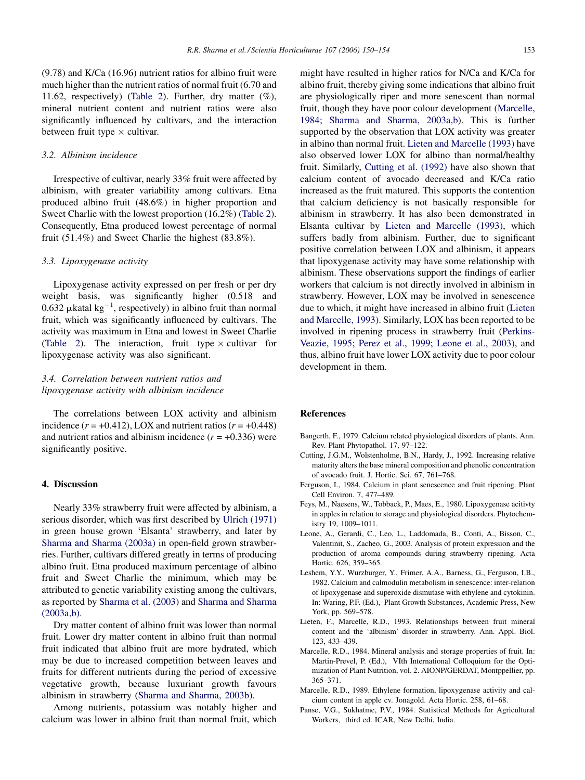<span id="page-3-0"></span>(9.78) and K/Ca (16.96) nutrient ratios for albino fruit were much higher than the nutrient ratios of normal fruit (6.70 and 11.62, respectively) [\(Table 2\)](#page-2-0). Further, dry matter (%), mineral nutrient content and nutrient ratios were also significantly influenced by cultivars, and the interaction between fruit type  $\times$  cultivar.

## 3.2. Albinism incidence

Irrespective of cultivar, nearly 33% fruit were affected by albinism, with greater variability among cultivars. Etna produced albino fruit (48.6%) in higher proportion and Sweet Charlie with the lowest proportion (16.2%) [\(Table 2\)](#page-2-0). Consequently, Etna produced lowest percentage of normal fruit (51.4%) and Sweet Charlie the highest (83.8%).

## 3.3. Lipoxygenase activity

Lipoxygenase activity expressed on per fresh or per dry weight basis, was significantly higher (0.518 and 0.632  $\mu$ katal kg<sup>-1</sup>, respectively) in albino fruit than normal fruit, which was significantly influenced by cultivars. The activity was maximum in Etna and lowest in Sweet Charlie ([Table 2\)](#page-2-0). The interaction, fruit type  $\times$  cultivar for lipoxygenase activity was also significant.

# 3.4. Correlation between nutrient ratios and lipoxygenase activity with albinism incidence

The correlations between LOX activity and albinism incidence  $(r = +0.412)$ , LOX and nutrient ratios  $(r = +0.448)$ and nutrient ratios and albinism incidence  $(r = +0.336)$  were significantly positive.

## 4. Discussion

Nearly 33% strawberry fruit were affected by albinism, a serious disorder, which was first described by [Ulrich \(1971\)](#page-4-0) in green house grown 'Elsanta' strawberry, and later by [Sharma and Sharma \(2003a\)](#page-4-0) in open-field grown strawberries. Further, cultivars differed greatly in terms of producing albino fruit. Etna produced maximum percentage of albino fruit and Sweet Charlie the minimum, which may be attributed to genetic variability existing among the cultivars, as reported by [Sharma et al. \(2003\)](#page-4-0) and [Sharma and Sharma](#page-4-0) [\(2003a,b\)](#page-4-0).

Dry matter content of albino fruit was lower than normal fruit. Lower dry matter content in albino fruit than normal fruit indicated that albino fruit are more hydrated, which may be due to increased competition between leaves and fruits for different nutrients during the period of excessive vegetative growth, because luxuriant growth favours albinism in strawberry ([Sharma and Sharma, 2003b\)](#page-4-0).

Among nutrients, potassium was notably higher and calcium was lower in albino fruit than normal fruit, which might have resulted in higher ratios for N/Ca and K/Ca for albino fruit, thereby giving some indications that albino fruit are physiologically riper and more senescent than normal fruit, though they have poor colour development (Marcelle, 1984; Sharma and Sharma, 2003a,b). This is further supported by the observation that LOX activity was greater in albino than normal fruit. Lieten and Marcelle (1993) have also observed lower LOX for albino than normal/healthy fruit. Similarly, Cutting et al. (1992) have also shown that calcium content of avocado decreased and K/Ca ratio increased as the fruit matured. This supports the contention that calcium deficiency is not basically responsible for albinism in strawberry. It has also been demonstrated in Elsanta cultivar by Lieten and Marcelle (1993), which suffers badly from albinism. Further, due to significant positive correlation between LOX and albinism, it appears that lipoxygenase activity may have some relationship with albinism. These observations support the findings of earlier workers that calcium is not directly involved in albinism in strawberry. However, LOX may be involved in senescence due to which, it might have increased in albino fruit (Lieten and Marcelle, 1993). Similarly, LOX has been reported to be involved in ripening process in strawberry fruit [\(Perkins-](#page-4-0)[Veazie, 1995; Perez et al., 1999; Leone et al., 2003\)](#page-4-0), and thus, albino fruit have lower LOX activity due to poor colour development in them.

# References

- Bangerth, F., 1979. Calcium related physiological disorders of plants. Ann. Rev. Plant Phytopathol. 17, 97–122.
- Cutting, J.G.M., Wolstenholme, B.N., Hardy, J., 1992. Increasing relative maturity alters the base mineral composition and phenolic concentration of avocado fruit. J. Hortic. Sci. 67, 761–768.
- Ferguson, I., 1984. Calcium in plant senescence and fruit ripening. Plant Cell Environ. 7, 477–489.
- Feys, M., Naesens, W., Tobback, P., Maes, E., 1980. Lipoxygenase acitivty in apples in relation to storage and physiological disorders. Phytochemistry 19, 1009–1011.
- Leone, A., Gerardi, C., Leo, L., Laddomada, B., Conti, A., Bisson, C., Valentinit, S., Zacheo, G., 2003. Analysis of protein expression and the production of aroma compounds during strawberry ripening. Acta Hortic. 626, 359–365.
- Leshem, Y.Y., Wurzburger, Y., Frimer, A.A., Barness, G., Ferguson, I.B., 1982. Calcium and calmodulin metabolism in senescence: inter-relation of lipoxygenase and superoxide dismutase with ethylene and cytokinin. In: Waring, P.F. (Ed.), Plant Growth Substances, Academic Press, New York, pp. 569–578.
- Lieten, F., Marcelle, R.D., 1993. Relationships between fruit mineral content and the 'albinism' disorder in strawberry. Ann. Appl. Biol. 123, 433–439.
- Marcelle, R.D., 1984. Mineral analysis and storage properties of fruit. In: Martin-Prevel, P. (Ed.), VIth International Colloquium for the Optimization of Plant Nutrition, vol. 2. AIONP/GERDAT, Montppellier, pp. 365–371.
- Marcelle, R.D., 1989. Ethylene formation, lipoxygenase activity and calcium content in apple cv. Jonagold. Acta Hortic. 258, 61–68.
- Panse, V.G., Sukhatme, P.V., 1984. Statistical Methods for Agricultural Workers, third ed. ICAR, New Delhi, India.